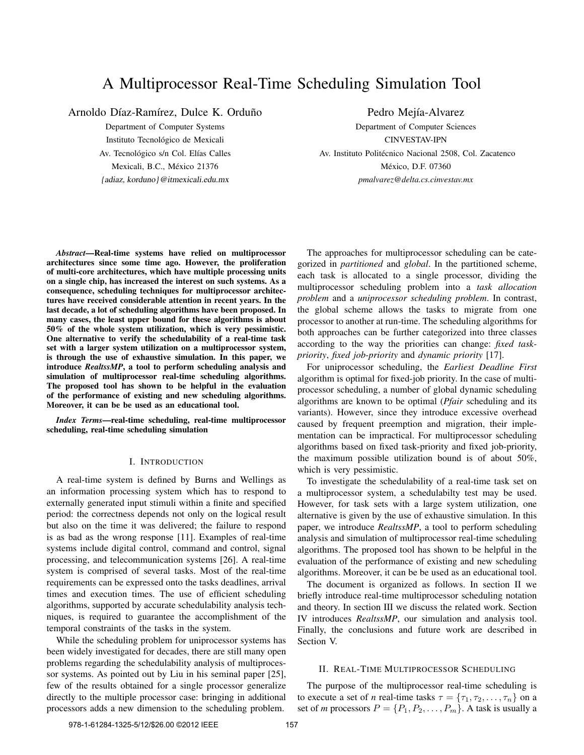# A Multiprocessor Real-Time Scheduling Simulation Tool

Arnoldo Díaz-Ramírez, Dulce K. Orduño

Department of Computer Systems Instituto Tecnológico de Mexicali Av. Tecnológico s/n Col. Elías Calles Mexicali, B.C., México 21376 {adiaz, korduno}@itmexicali.edu.mx

Pedro Mejía-Alvarez

Department of Computer Sciences CINVESTAV-IPN Av. Instituto Politécnico Nacional 2508, Col. Zacatenco México, D.F. 07360 *pmalvarez@delta.cs.cinvestav.mx*

*Abstract*—Real-time systems have relied on multiprocessor architectures since some time ago. However, the proliferation of multi-core architectures, which have multiple processing units on a single chip, has increased the interest on such systems. As a consequence, scheduling techniques for multiprocessor architectures have received considerable attention in recent years. In the last decade, a lot of scheduling algorithms have been proposed. In many cases, the least upper bound for these algorithms is about 50% of the whole system utilization, which is very pessimistic. One alternative to verify the schedulability of a real-time task set with a larger system utilization on a multiprocessor system, is through the use of exhaustive simulation. In this paper, we introduce *RealtssMP*, a tool to perform scheduling analysis and simulation of multiprocessor real-time scheduling algorithms. The proposed tool has shown to be helpful in the evaluation of the performance of existing and new scheduling algorithms. Moreover, it can be be used as an educational tool.

*Index Terms*—real-time scheduling, real-time multiprocessor scheduling, real-time scheduling simulation

## I. INTRODUCTION

A real-time system is defined by Burns and Wellings as an information processing system which has to respond to externally generated input stimuli within a finite and specified period: the correctness depends not only on the logical result but also on the time it was delivered; the failure to respond is as bad as the wrong response [11]. Examples of real-time systems include digital control, command and control, signal processing, and telecommunication systems [26]. A real-time system is comprised of several tasks. Most of the real-time requirements can be expressed onto the tasks deadlines, arrival times and execution times. The use of efficient scheduling algorithms, supported by accurate schedulability analysis techniques, is required to guarantee the accomplishment of the temporal constraints of the tasks in the system.

While the scheduling problem for uniprocessor systems has been widely investigated for decades, there are still many open problems regarding the schedulability analysis of multiprocessor systems. As pointed out by Liu in his seminal paper [25], few of the results obtained for a single processor generalize directly to the multiple processor case: bringing in additional processors adds a new dimension to the scheduling problem.

The approaches for multiprocessor scheduling can be categorized in *partitioned* and *global*. In the partitioned scheme, each task is allocated to a single processor, dividing the multiprocessor scheduling problem into a *task allocation problem* and a *uniprocessor scheduling problem*. In contrast, the global scheme allows the tasks to migrate from one processor to another at run-time. The scheduling algorithms for both approaches can be further categorized into three classes according to the way the priorities can change: *fixed taskpriority*, *fixed job-priority* and *dynamic priority* [17].

For uniprocessor scheduling, the *Earliest Deadline First* algorithm is optimal for fixed-job priority. In the case of multiprocessor scheduling, a number of global dynamic scheduling algorithms are known to be optimal (*Pfair* scheduling and its variants). However, since they introduce excessive overhead caused by frequent preemption and migration, their implementation can be impractical. For multiprocessor scheduling algorithms based on fixed task-priority and fixed job-priority, the maximum possible utilization bound is of about 50%, which is very pessimistic.

To investigate the schedulability of a real-time task set on a multiprocessor system, a schedulabilty test may be used. However, for task sets with a large system utilization, one alternative is given by the use of exhaustive simulation. In this paper, we introduce *RealtssMP*, a tool to perform scheduling analysis and simulation of multiprocessor real-time scheduling algorithms. The proposed tool has shown to be helpful in the evaluation of the performance of existing and new scheduling algorithms. Moreover, it can be be used as an educational tool.

The document is organized as follows. In section II we briefly introduce real-time multiprocessor scheduling notation and theory. In section III we discuss the related work. Section IV introduces *RealtssMP*, our simulation and analysis tool. Finally, the conclusions and future work are described in Section V.

### II. REAL-TIME MULTIPROCESSOR SCHEDULING

The purpose of the multiprocessor real-time scheduling is to execute a set of *n* real-time tasks  $\tau = {\tau_1, \tau_2, ..., \tau_n}$  on a set of *m* processors  $P = \{P_1, P_2, \ldots, P_m\}$ . A task is usually a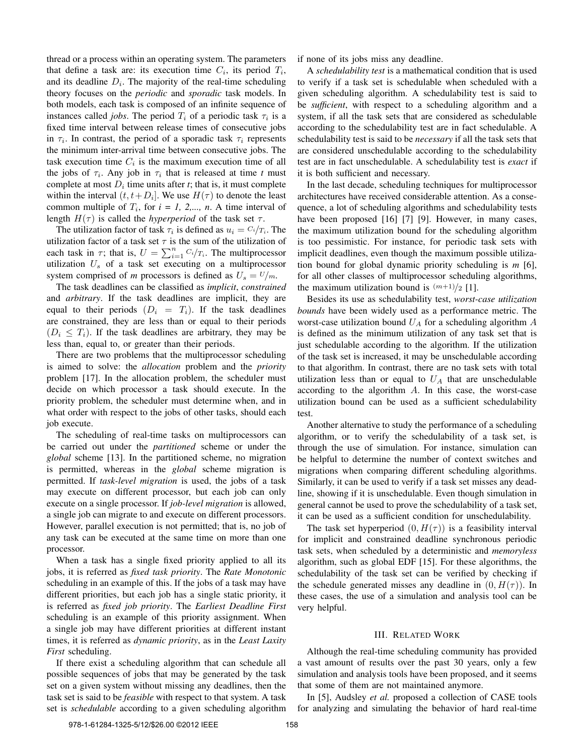thread or a process within an operating system. The parameters that define a task are: its execution time  $C_i$ , its period  $T_i$ , and its deadline  $D_i$ . The majority of the real-time scheduling theory focuses on the *periodic* and *sporadic* task models. In both models, each task is composed of an infinite sequence of instances called *jobs*. The period  $T_i$  of a periodic task  $\tau_i$  is a fixed time interval between release times of consecutive jobs in  $\tau_i$ . In contrast, the period of a sporadic task  $\tau_i$  represents the minimum inter-arrival time between consecutive jobs. The task execution time  $C_i$  is the maximum execution time of all the jobs of  $\tau_i$ . Any job in  $\tau_i$  that is released at time *t* must complete at most  $D_i$  time units after  $t$ ; that is, it must complete within the interval  $(t, t+D_i]$ . We use  $H(\tau)$  to denote the least common multiple of  $T_i$ , for  $i = 1, 2,..., n$ . A time interval of length  $H(\tau)$  is called the *hyperperiod* of the task set  $\tau$ .

The utilization factor of task  $\tau_i$  is defined as  $u_i = \frac{C_i}{T_i}$ . The utilization factor of a task set  $\tau$  is the sum of the utilization of each task in  $\tau$ ; that is,  $U = \sum_{i=1}^{n} C_i / T_i$ . The multiprocessor utilization  $U_s$  of a task set executing on a multiprocessor system comprised of *m* processors is defined as  $U_s = U/m$ .

The task deadlines can be classified as *implicit*, *constrained* and *arbitrary*. If the task deadlines are implicit, they are equal to their periods  $(D_i = T_i)$ . If the task deadlines are constrained, they are less than or equal to their periods  $(D_i \leq T_i)$ . If the task deadlines are arbitrary, they may be less than, equal to, or greater than their periods.

There are two problems that the multiprocessor scheduling is aimed to solve: the *allocation* problem and the *priority* problem [17]. In the allocation problem, the scheduler must decide on which processor a task should execute. In the priority problem, the scheduler must determine when, and in what order with respect to the jobs of other tasks, should each job execute.

The scheduling of real-time tasks on multiprocessors can be carried out under the *partitioned* scheme or under the *global* scheme [13]. In the partitioned scheme, no migration is permitted, whereas in the *global* scheme migration is permitted. If *task-level migration* is used, the jobs of a task may execute on different processor, but each job can only execute on a single processor. If *job-level migration* is allowed, a single job can migrate to and execute on different processors. However, parallel execution is not permitted; that is, no job of any task can be executed at the same time on more than one processor.

When a task has a single fixed priority applied to all its jobs, it is referred as *fixed task priority*. The *Rate Monotonic* scheduling in an example of this. If the jobs of a task may have different priorities, but each job has a single static priority, it is referred as *fixed job priority*. The *Earliest Deadline First* scheduling is an example of this priority assignment. When a single job may have different priorities at different instant times, it is referred as *dynamic priority*, as in the *Least Laxity First* scheduling.

If there exist a scheduling algorithm that can schedule all possible sequences of jobs that may be generated by the task set on a given system without missing any deadlines, then the task set is said to be *feasible* with respect to that system. A task set is *schedulable* according to a given scheduling algorithm if none of its jobs miss any deadline.

A *schedulability test* is a mathematical condition that is used to verify if a task set is schedulable when scheduled with a given scheduling algorithm. A schedulability test is said to be *sufficient*, with respect to a scheduling algorithm and a system, if all the task sets that are considered as schedulable according to the schedulability test are in fact schedulable. A schedulability test is said to be *necessary* if all the task sets that are considered unschedulable according to the schedulability test are in fact unschedulable. A schedulability test is *exact* if it is both sufficient and necessary.

In the last decade, scheduling techniques for multiprocessor architectures have received considerable attention. As a consequence, a lot of scheduling algorithms and schedulability tests have been proposed [16] [7] [9]. However, in many cases, the maximum utilization bound for the scheduling algorithm is too pessimistic. For instance, for periodic task sets with implicit deadlines, even though the maximum possible utilization bound for global dynamic priority scheduling is *m* [6], for all other classes of multiprocessor scheduling algorithms, the maximum utilization bound is  $(m+1)/2$  [1].

Besides its use as schedulability test, *worst-case utilization bounds* have been widely used as a performance metric. The worst-case utilization bound  $U_A$  for a scheduling algorithm  $A$ is defined as the minimum utilization of any task set that is just schedulable according to the algorithm. If the utilization of the task set is increased, it may be unschedulable according to that algorithm. In contrast, there are no task sets with total utilization less than or equal to  $U_A$  that are unschedulable according to the algorithm A. In this case, the worst-case utilization bound can be used as a sufficient schedulability test.

Another alternative to study the performance of a scheduling algorithm, or to verify the schedulability of a task set, is through the use of simulation. For instance, simulation can be helpful to determine the number of context switches and migrations when comparing different scheduling algorithms. Similarly, it can be used to verify if a task set misses any deadline, showing if it is unschedulable. Even though simulation in general cannot be used to prove the schedulability of a task set, it can be used as a sufficient condition for unschedulability.

The task set hyperperiod  $(0, H(\tau))$  is a feasibility interval for implicit and constrained deadline synchronous periodic task sets, when scheduled by a deterministic and *memoryless* algorithm, such as global EDF [15]. For these algorithms, the schedulability of the task set can be verified by checking if the schedule generated misses any deadline in  $(0, H(\tau))$ . In these cases, the use of a simulation and analysis tool can be very helpful.

# III. RELATED WORK

Although the real-time scheduling community has provided a vast amount of results over the past 30 years, only a few simulation and analysis tools have been proposed, and it seems that some of them are not maintained anymore.

In [5], Audsley *et al.* proposed a collection of CASE tools for analyzing and simulating the behavior of hard real-time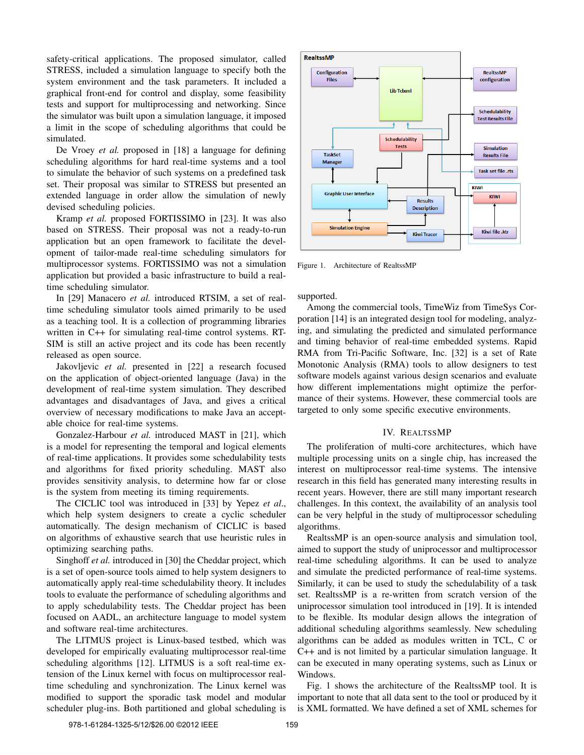safety-critical applications. The proposed simulator, called STRESS, included a simulation language to specify both the system environment and the task parameters. It included a graphical front-end for control and display, some feasibility tests and support for multiprocessing and networking. Since the simulator was built upon a simulation language, it imposed a limit in the scope of scheduling algorithms that could be simulated.

De Vroey *et al.* proposed in [18] a language for defining scheduling algorithms for hard real-time systems and a tool to simulate the behavior of such systems on a predefined task set. Their proposal was similar to STRESS but presented an extended language in order allow the simulation of newly devised scheduling policies.

Kramp *et al.* proposed FORTISSIMO in [23]. It was also based on STRESS. Their proposal was not a ready-to-run application but an open framework to facilitate the development of tailor-made real-time scheduling simulators for multiprocessor systems. FORTISSIMO was not a simulation application but provided a basic infrastructure to build a realtime scheduling simulator.

In [29] Manacero *et al.* introduced RTSIM, a set of realtime scheduling simulator tools aimed primarily to be used as a teaching tool. It is a collection of programming libraries written in C++ for simulating real-time control systems. RT-SIM is still an active project and its code has been recently released as open source.

Jakovljevic *et al.* presented in [22] a research focused on the application of object-oriented language (Java) in the development of real-time system simulation. They described advantages and disadvantages of Java, and gives a critical overview of necessary modifications to make Java an acceptable choice for real-time systems.

Gonzalez-Harbour *et al.* introduced MAST in [21], which is a model for representing the temporal and logical elements of real-time applications. It provides some schedulability tests and algorithms for fixed priority scheduling. MAST also provides sensitivity analysis, to determine how far or close is the system from meeting its timing requirements.

The CICLIC tool was introduced in [33] by Yepez *et al*., which help system designers to create a cyclic scheduler automatically. The design mechanism of CICLIC is based on algorithms of exhaustive search that use heuristic rules in optimizing searching paths.

Singhoff *et al.* introduced in [30] the Cheddar project, which is a set of open-source tools aimed to help system designers to automatically apply real-time schedulability theory. It includes tools to evaluate the performance of scheduling algorithms and to apply schedulability tests. The Cheddar project has been focused on AADL, an architecture language to model system and software real-time architectures.

The LITMUS project is Linux-based testbed, which was developed for empirically evaluating multiprocessor real-time scheduling algorithms [12]. LITMUS is a soft real-time extension of the Linux kernel with focus on multiprocessor realtime scheduling and synchronization. The Linux kernel was modified to support the sporadic task model and modular scheduler plug-ins. Both partitioned and global scheduling is



Figure 1. Architecture of RealtssMP

supported.

Among the commercial tools, TimeWiz from TimeSys Corporation [14] is an integrated design tool for modeling, analyzing, and simulating the predicted and simulated performance and timing behavior of real-time embedded systems. Rapid RMA from Tri-Pacific Software, Inc. [32] is a set of Rate Monotonic Analysis (RMA) tools to allow designers to test software models against various design scenarios and evaluate how different implementations might optimize the performance of their systems. However, these commercial tools are targeted to only some specific executive environments.

## IV. REALTSSMP

The proliferation of multi-core architectures, which have multiple processing units on a single chip, has increased the interest on multiprocessor real-time systems. The intensive research in this field has generated many interesting results in recent years. However, there are still many important research challenges. In this context, the availability of an analysis tool can be very helpful in the study of multiprocessor scheduling algorithms.

RealtssMP is an open-source analysis and simulation tool, aimed to support the study of uniprocessor and multiprocessor real-time scheduling algorithms. It can be used to analyze and simulate the predicted performance of real-time systems. Similarly, it can be used to study the schedulability of a task set. RealtssMP is a re-written from scratch version of the uniprocessor simulation tool introduced in [19]. It is intended to be flexible. Its modular design allows the integration of additional scheduling algorithms seamlessly. New scheduling algorithms can be added as modules written in TCL, C or C++ and is not limited by a particular simulation language. It can be executed in many operating systems, such as Linux or Windows.

Fig. 1 shows the architecture of the RealtssMP tool. It is important to note that all data sent to the tool or produced by it is XML formatted. We have defined a set of XML schemes for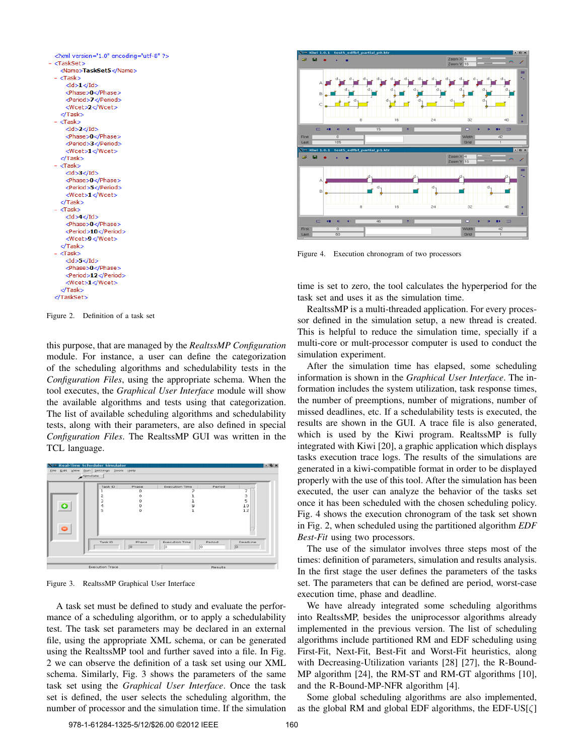```
<?xml version="1.0" encoding="utf-8" ?>
<TaskSet>
 <Name>TaskSet5</Name>
 <Task><Id>1</Id>
   <Phase>0</Phase>
   <Period>7</Period>
   <Wcet>2</Wcet>
 </Task><Task><Id>2</Id>
   <Phase>0</Phase>
   <Period>3</Period>
   <Wcet>1</Wcet>
  </Task>
- <Task><hī\>R<hī>
   <Phase>0</Phase>
   <Period>5</Period>
   <Wcet>1</Wcet>
 </Task>
 <sub>T</sub>ask></sub>
   <Id>4</Id>
   <Phase>0</Phase>
   <Period>10</Period>
   <Wcet>9</Wcet>
  \langleTask>
 <Task><Id>5</Id>
   <Phase>0</Phase>
   <Period>12</Period>
   <Wcet>1</Wcet>
  </Task>
</TaskSet>
```
Figure 2. Definition of a task set

this purpose, that are managed by the *RealtssMP Configuration* module. For instance, a user can define the categorization of the scheduling algorithms and schedulability tests in the *Configuration Files*, using the appropriate schema. When the tool executes, the *Graphical User Interface* module will show the available algorithms and tests using that categorization. The list of available scheduling algorithms and schedulability tests, along with their parameters, are also defined in special *Configuration Files*. The RealtssMP GUI was written in the TCL language.



Figure 3. RealtssMP Graphical User Interface

A task set must be defined to study and evaluate the performance of a scheduling algorithm, or to apply a schedulability test. The task set parameters may be declared in an external file, using the appropriate XML schema, or can be generated using the RealtssMP tool and further saved into a file. In Fig. 2 we can observe the definition of a task set using our XML schema. Similarly, Fig. 3 shows the parameters of the same task set using the *Graphical User Interface*. Once the task set is defined, the user selects the scheduling algorithm, the number of processor and the simulation time. If the simulation



Figure 4. Execution chronogram of two processors

time is set to zero, the tool calculates the hyperperiod for the task set and uses it as the simulation time.

RealtssMP is a multi-threaded application. For every processor defined in the simulation setup, a new thread is created. This is helpful to reduce the simulation time, specially if a multi-core or mult-processor computer is used to conduct the simulation experiment.

After the simulation time has elapsed, some scheduling information is shown in the *Graphical User Interface*. The information includes the system utilization, task response times, the number of preemptions, number of migrations, number of missed deadlines, etc. If a schedulability tests is executed, the results are shown in the GUI. A trace file is also generated, which is used by the Kiwi program. RealtssMP is fully integrated with Kiwi [20], a graphic application which displays tasks execution trace logs. The results of the simulations are generated in a kiwi-compatible format in order to be displayed properly with the use of this tool. After the simulation has been executed, the user can analyze the behavior of the tasks set once it has been scheduled with the chosen scheduling policy. Fig. 4 shows the execution chronogram of the task set shown in Fig. 2, when scheduled using the partitioned algorithm *EDF Best-Fit* using two processors.

The use of the simulator involves three steps most of the times: definition of parameters, simulation and results analysis. In the first stage the user defines the parameters of the tasks set. The parameters that can be defined are period, worst-case execution time, phase and deadline.

We have already integrated some scheduling algorithms into RealtssMP, besides the uniprocessor algorithms already implemented in the previous version. The list of scheduling algorithms include partitioned RM and EDF scheduling using First-Fit, Next-Fit, Best-Fit and Worst-Fit heuristics, along with Decreasing-Utilization variants [28] [27], the R-Bound-MP algorithm [24], the RM-ST and RM-GT algorithms [10], and the R-Bound-MP-NFR algorithm [4].

Some global scheduling algorithms are also implemented, as the global RM and global EDF algorithms, the EDF-US $\zeta$ ]